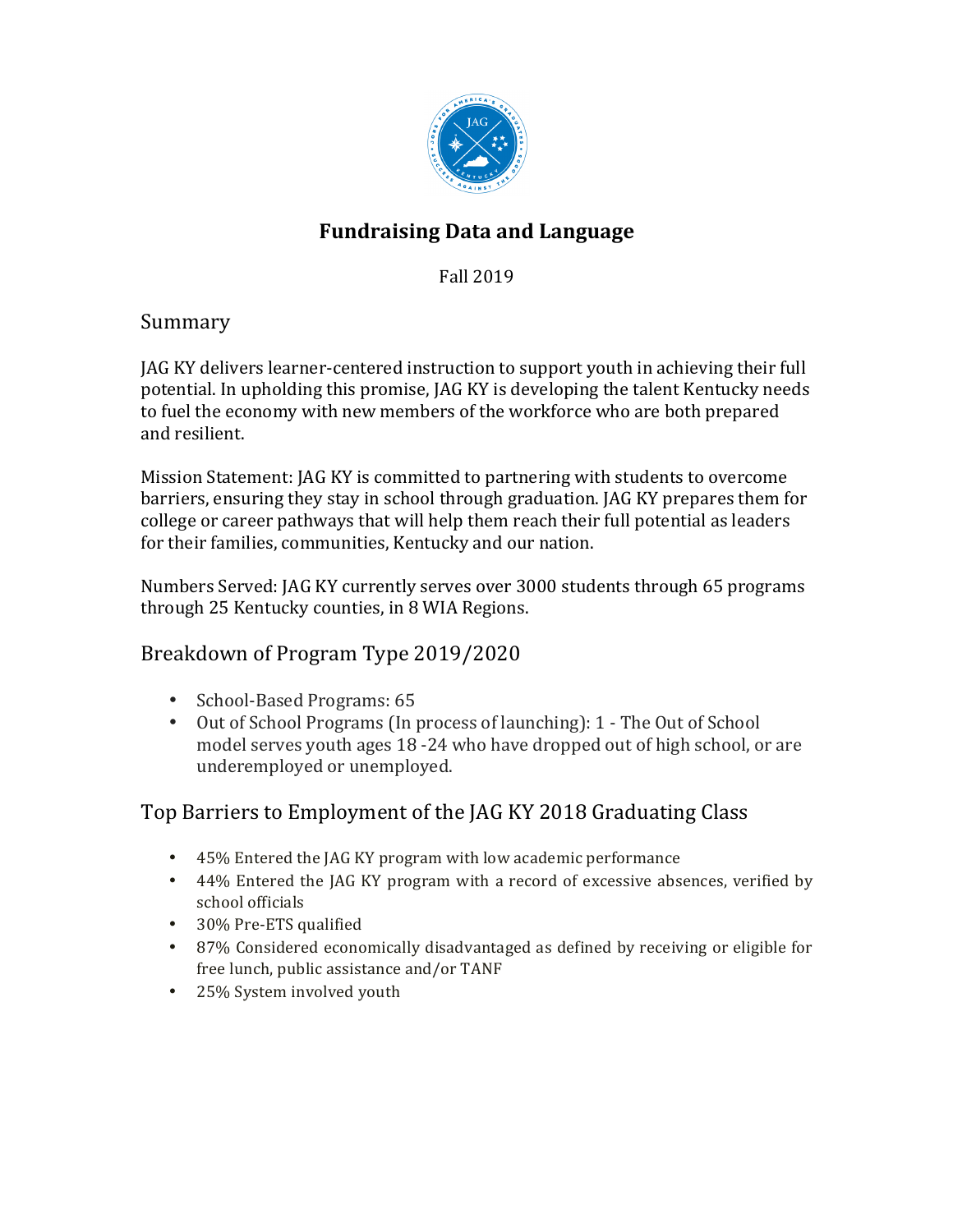

# **Fundraising Data and Language**

Fall 2019 

### Summary

JAG KY delivers learner-centered instruction to support youth in achieving their full potential. In upholding this promise, JAG KY is developing the talent Kentucky needs to fuel the economy with new members of the workforce who are both prepared and resilient.

Mission Statement: JAG KY is committed to partnering with students to overcome barriers, ensuring they stay in school through graduation. JAG KY prepares them for college or career pathways that will help them reach their full potential as leaders for their families, communities, Kentucky and our nation.

Numbers Served: JAG KY currently serves over 3000 students through 65 programs through 25 Kentucky counties, in 8 WIA Regions.

### Breakdown of Program Type 2019/2020

- School-Based Programs: 65
- Out of School Programs (In process of launching): 1 The Out of School model serves youth ages 18 -24 who have dropped out of high school, or are underemployed or unemployed.

## Top Barriers to Employment of the JAG KY 2018 Graduating Class

- 45% Entered the JAG KY program with low academic performance
- 44% Entered the JAG KY program with a record of excessive absences, verified by school officials
- 30% Pre-ETS qualified
- 87% Considered economically disadvantaged as defined by receiving or eligible for free lunch, public assistance and/or TANF
- 25% System involved youth